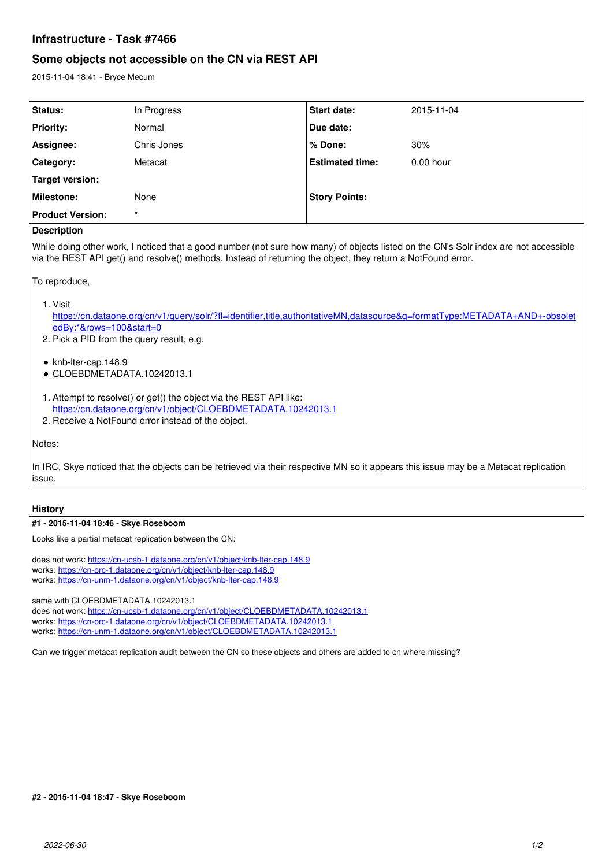# **Infrastructure - Task #7466**

# **Some objects not accessible on the CN via REST API**

2015-11-04 18:41 - Bryce Mecum

| Status:                 | In Progress | Start date:            | 2015-11-04  |
|-------------------------|-------------|------------------------|-------------|
| <b>Priority:</b>        | Normal      | Due date:              |             |
| Assignee:               | Chris Jones | ∣% Done:               | 30%         |
| Category:               | Metacat     | <b>Estimated time:</b> | $0.00$ hour |
| Target version:         |             |                        |             |
| <b>Milestone:</b>       | None        | <b>Story Points:</b>   |             |
| <b>Product Version:</b> | $\star$     |                        |             |

# **Description**

While doing other work, I noticed that a good number (not sure how many) of objects listed on the CN's Solr index are not accessible via the REST API get() and resolve() methods. Instead of returning the object, they return a NotFound error.

To reproduce,

### 1. Visit

[https://cn.dataone.org/cn/v1/query/solr/?fl=identifier,title,authoritativeMN,datasource&q=formatType:METADATA+AND+-obsolet](https://cn.dataone.org/cn/v1/query/solr/?fl=identifier,title,authoritativeMN,datasource&q=formatType:METADATA+AND+-obsoletedBy:*&rows=100&start=0) [edBy:\\*&rows=100&start=0](https://cn.dataone.org/cn/v1/query/solr/?fl=identifier,title,authoritativeMN,datasource&q=formatType:METADATA+AND+-obsoletedBy:*&rows=100&start=0)

2. Pick a PID from the query result, e.g.

- knb-lter-cap.148.9
- CLOEBDMETADATA.10242013.1
- 1. Attempt to resolve() or get() the object via the REST API like: <https://cn.dataone.org/cn/v1/object/CLOEBDMETADATA.10242013.1>
- 2. Receive a NotFound error instead of the object.

Notes:

In IRC, Skye noticed that the objects can be retrieved via their respective MN so it appears this issue may be a Metacat replication issue.

#### **History**

## **#1 - 2015-11-04 18:46 - Skye Roseboom**

Looks like a partial metacat replication between the CN:

does not work:<https://cn-ucsb-1.dataone.org/cn/v1/object/knb-lter-cap.148.9> works: <https://cn-orc-1.dataone.org/cn/v1/object/knb-lter-cap.148.9> works: <https://cn-unm-1.dataone.org/cn/v1/object/knb-lter-cap.148.9>

same with CLOEBDMETADATA.10242013.1

does not work:<https://cn-ucsb-1.dataone.org/cn/v1/object/CLOEBDMETADATA.10242013.1> works: <https://cn-orc-1.dataone.org/cn/v1/object/CLOEBDMETADATA.10242013.1> works: <https://cn-unm-1.dataone.org/cn/v1/object/CLOEBDMETADATA.10242013.1>

Can we trigger metacat replication audit between the CN so these objects and others are added to cn where missing?

#### **#2 - 2015-11-04 18:47 - Skye Roseboom**